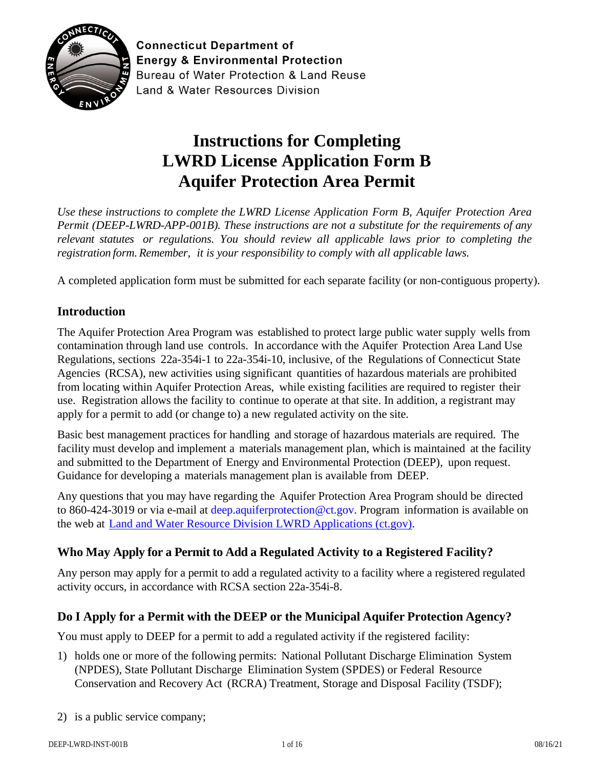

**Connecticut Department of Energy & Environmental Protection** Bureau of Water Protection & Land Reuse **Land & Water Resources Division** 

# **Instructions for Completing LWRD License Application Form B Aquifer Protection Area Permit**

*Use these instructions to complete the LWRD License Application Form B*, *Aquifer Protection Area Permit (DEEP-LWRD-APP-001B). These instructions are not a substitute for the requirements of any relevant statutes or regulations. You should review all applicable laws prior to completing the registration form. Remember, it is your responsibility to comply with all applicable laws.*

A completed application form must be submitted for each separate facility (or non-contiguous property).

# **Introduction**

The Aquifer Protection Area Program was established to protect large public water supply wells from contamination through land use controls. In accordance with the Aquifer Protection Area Land Use Regulations, sections 22a-354i-1 to 22a-354i-10, inclusive, of the Regulations of Connecticut State Agencies (RCSA), new activities using significant quantities of hazardous materials are prohibited from locating within Aquifer Protection Areas, while existing facilities are required to register their use. Registration allows the facility to continue to operate at that site. In addition, a registrant may apply for a permit to add (or change to) a new regulated activity on the site.

Basic best management practices for handling and storage of hazardous materials are required. The facility must develop and implement a materials management plan, which is maintained at the facility and submitted to the Department of Energy and Environmental Protection (DEEP), upon request. Guidance for developing a materials management plan is available from DEEP.

Any questions that you may have regarding the Aquifer Protection Area Program should be directed to 860-424-3019 or via e-mail at [deep.aquiferprotection@ct.gov.](mailto:deep.aquiferprotection@ct.gov) Program information is available on the web at [Land and Water Resource Division LWRD Applications \(ct.gov\).](https://portal.ct.gov/DEEP/Permits-and-Licenses/Land-and-Water-Resource-Division-LWRD-Applications#APA)

# **Who May Apply for a Permit to Add a Regulated Activity to a Registered Facility?**

Any person may apply for a permit to add a regulated activity to a facility where a registered regulated activity occurs, in accordance with RCSA section 22a-354i-8.

# **Do I Apply for a Permit with the DEEP or the Municipal Aquifer Protection Agency?**

You must apply to DEEP for a permit to add a regulated activity if the registered facility:

- 1) holds one or more of the following permits: National Pollutant Discharge Elimination System (NPDES), State Pollutant Discharge Elimination System (SPDES) or Federal Resource Conservation and Recovery Act (RCRA) Treatment, Storage and Disposal Facility (TSDF);
- 2) is a public service company;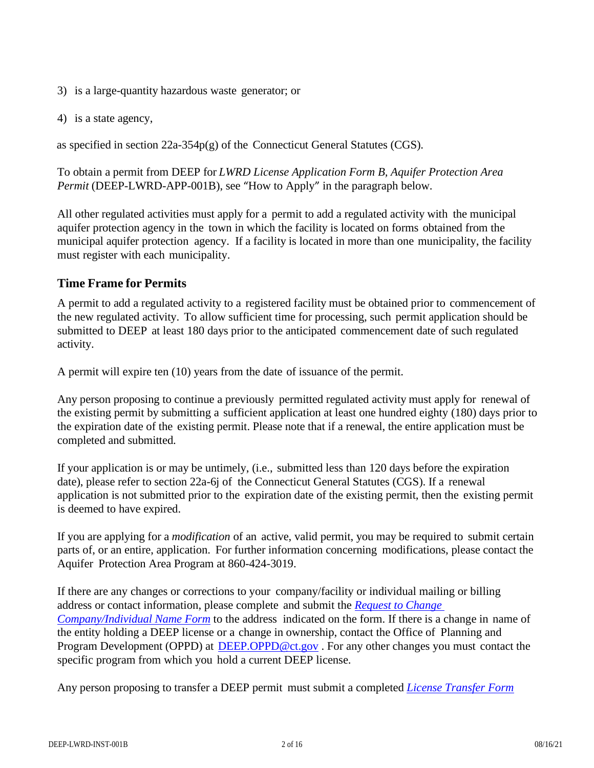- 3) is a large-quantity hazardous waste generator; or
- 4) is a state agency,

as specified in section  $22a-354p(g)$  of the Connecticut General Statutes (CGS).

To obtain a permit from DEEP for *LWRD License Application Form B, Aquifer Protection Area Permit* (DEEP-LWRD-APP-001B), see "How to Apply" in the paragraph below.

All other regulated activities must apply for a permit to add a regulated activity with the municipal aquifer protection agency in the town in which the facility is located on forms obtained from the municipal aquifer protection agency. If a facility is located in more than one municipality, the facility must register with each municipality.

## **Time Frame for Permits**

A permit to add a regulated activity to a registered facility must be obtained prior to commencement of the new regulated activity. To allow sufficient time for processing, such permit application should be submitted to DEEP at least 180 days prior to the anticipated commencement date of such regulated activity.

A permit will expire ten (10) years from the date of issuance of the permit.

Any person proposing to continue a previously permitted regulated activity must apply for renewal of the existing permit by submitting a sufficient application at least one hundred eighty (180) days prior to the expiration date of the existing permit. Please note that if a renewal, the entire application must be completed and submitted.

If your application is or may be untimely, (i.e., submitted less than 120 days before the expiration date), please refer to section 22a-6j of the Connecticut General Statutes (CGS). If a renewal application is not submitted prior to the expiration date of the existing permit, then the existing permit is deemed to have expired.

If you are applying for a *modification* of an active, valid permit, you may be required to submit certain parts of, or an entire, application. For further information concerning modifications, please contact the Aquifer Protection Area Program at 860-424-3019.

If there are any changes or corrections to your company/facility or individual mailing or billing address or contact information, please complete and submit the *[Request to Change](https://portal.ct.gov/-/media/DEEP/permits_and_licenses/common_forms/infochangeCPPUdoc.doc)  [Company/Individual Name Form](https://portal.ct.gov/-/media/DEEP/permits_and_licenses/common_forms/infochangeCPPUdoc.doc)* to the address indicated on the form. If there is a change in name of the entity holding a DEEP license or a change in ownership, contact the Office of Planning and Program Development (OPPD) at [DEEP.OPPD@ct.gov](mailto:DEEP.OPPD@ct.gov). For any other changes you must contact the specific program from which you hold a current DEEP license.

Any person proposing to transfer a DEEP permit must submit a completed *License [Transfer Form](https://portal.ct.gov/-/media/DEEP/Permits_and_Licenses/Common_Forms/transferappdoc.doc)*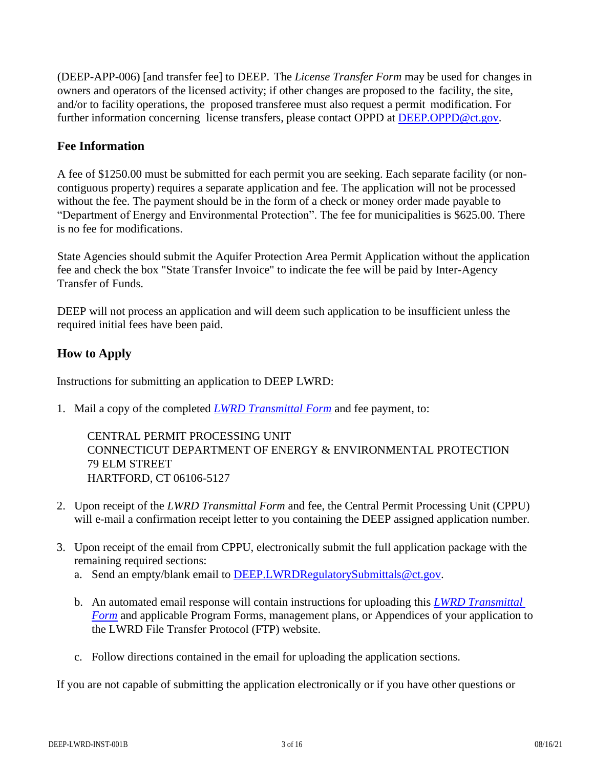(DEEP-APP-006) [and transfer fee] to DEEP. The *License Transfer Form* may be used for changes in owners and operators of the licensed activity; if other changes are proposed to the facility, the site, and/or to facility operations, the proposed transferee must also request a permit modification. For further information concerning license transfers, please contact OPPD at [DEEP.OPPD@ct.gov.](mailto:DEEP.OPPD@ct.gov)

## **Fee Information**

A fee of \$1250.00 must be submitted for each permit you are seeking. Each separate facility (or noncontiguous property) requires a separate application and fee. The application will not be processed without the fee. The payment should be in the form of a check or money order made payable to "Department of Energy and Environmental Protection". The fee for municipalities is \$625.00. There is no fee for modifications.

State Agencies should submit the Aquifer Protection Area Permit Application without the application fee and check the box "State Transfer Invoice" to indicate the fee will be paid by Inter-Agency Transfer of Funds.

DEEP will not process an application and will deem such application to be insufficient unless the required initial fees have been paid.

## **How to Apply**

Instructions for submitting an application to DEEP LWRD:

1. Mail a copy of the completed *[LWRD Transmittal Form](https://portal.ct.gov/-/media/DEEP/Permits_and_Licenses/Land_Use_Permits/LWRD/transmittalappdoc.doc)* and fee payment, to:

CENTRAL PERMIT PROCESSING UNIT CONNECTICUT DEPARTMENT OF ENERGY & ENVIRONMENTAL PROTECTION 79 ELM STREET HARTFORD, CT 06106-5127

- 2. Upon receipt of the *LWRD Transmittal Form* and fee, the Central Permit Processing Unit (CPPU) will e-mail a confirmation receipt letter to you containing the DEEP assigned application number.
- 3. Upon receipt of the email from CPPU, electronically submit the full application package with the remaining required sections:
	- a. Send an empty/blank email to [DEEP.LWRDRegulatorySubmittals@ct.gov.](mailto:DEEP.LWRDRegulatorySubmittals@ct.gov)
	- b. An automated email response will contain instructions for uploading this *[LWRD Transmittal](https://portal.ct.gov/-/media/DEEP/Permits_and_Licenses/Land_Use_Permits/LWRD/transmittalappdoc.doc)  [Form](https://portal.ct.gov/-/media/DEEP/Permits_and_Licenses/Land_Use_Permits/LWRD/transmittalappdoc.doc)* and applicable Program Forms, management plans, or Appendices of your application to the LWRD File Transfer Protocol (FTP) website.
	- c. Follow directions contained in the email for uploading the application sections.

If you are not capable of submitting the application electronically or if you have other questions or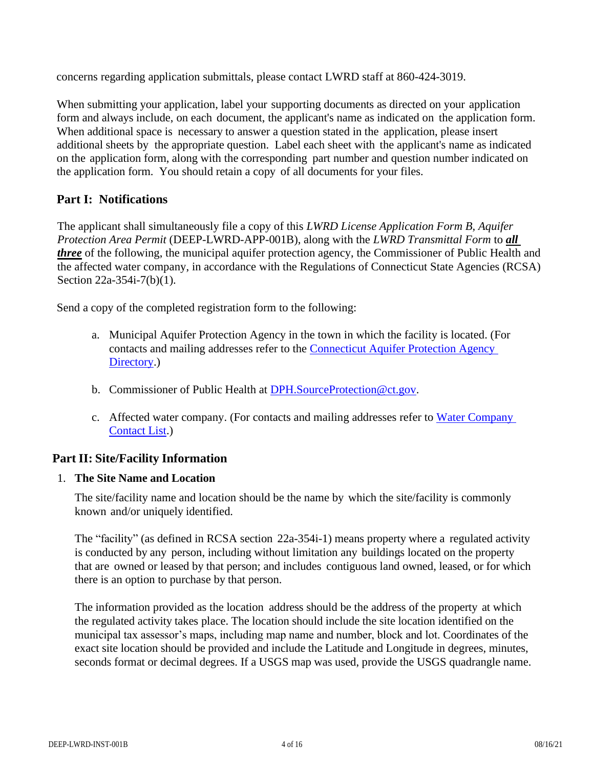concerns regarding application submittals, please contact LWRD staff at 860-424-3019.

When submitting your application, label your supporting documents as directed on your application form and always include, on each document, the applicant's name as indicated on the application form. When additional space is necessary to answer a question stated in the application, please insert additional sheets by the appropriate question. Label each sheet with the applicant's name as indicated on the application form, along with the corresponding part number and question number indicated on the application form. You should retain a copy of all documents for your files.

# **Part I: Notifications**

The applicant shall simultaneously file a copy of this *LWRD License Application Form B, Aquifer Protection Area Permit* (DEEP-LWRD-APP-001B), along with the *LWRD Transmittal Form* to *all three* of the following, the municipal aquifer protection agency, the Commissioner of Public Health and the affected water company, in accordance with the Regulations of Connecticut State Agencies (RCSA) Section 22a-354i-7(b)(1).

Send a copy of the completed registration form to the following:

- a. Municipal Aquifer Protection Agency in the town in which the facility is located. (For contacts and mailing addresses refer to the [Connecticut Aquifer Protection Agency](https://portal.ct.gov/-/media/DEEP/aquifer_protection/apagencydirectorypdf.pdf?la=en)  [Directory.](https://portal.ct.gov/-/media/DEEP/aquifer_protection/apagencydirectorypdf.pdf?la=en))
- b. Commissioner of Public Health at [DPH.SourceProtection@ct.gov.](mailto:DPH.SourceProtection@ct.gov)
- c. Affected water company. (For contacts and mailing addresses refer to [Water Company](https://portal.ct.gov/-/media/DEEP/aquifer_protection/wtrcocontactlist2019pdf.pdf?la=en)  [Contact List.](https://portal.ct.gov/-/media/DEEP/aquifer_protection/wtrcocontactlist2019pdf.pdf?la=en))

# **Part II: Site/Facility Information**

#### 1. **The Site Name and Location**

The site/facility name and location should be the name by which the site/facility is commonly known and/or uniquely identified.

The "facility" (as defined in RCSA section 22a-354i-1) means property where a regulated activity is conducted by any person, including without limitation any buildings located on the property that are owned or leased by that person; and includes contiguous land owned, leased, or for which there is an option to purchase by that person.

The information provided as the location address should be the address of the property at which the regulated activity takes place. The location should include the site location identified on the municipal tax assessor's maps, including map name and number, block and lot. Coordinates of the exact site location should be provided and include the Latitude and Longitude in degrees, minutes, seconds format or decimal degrees. If a USGS map was used, provide the USGS quadrangle name.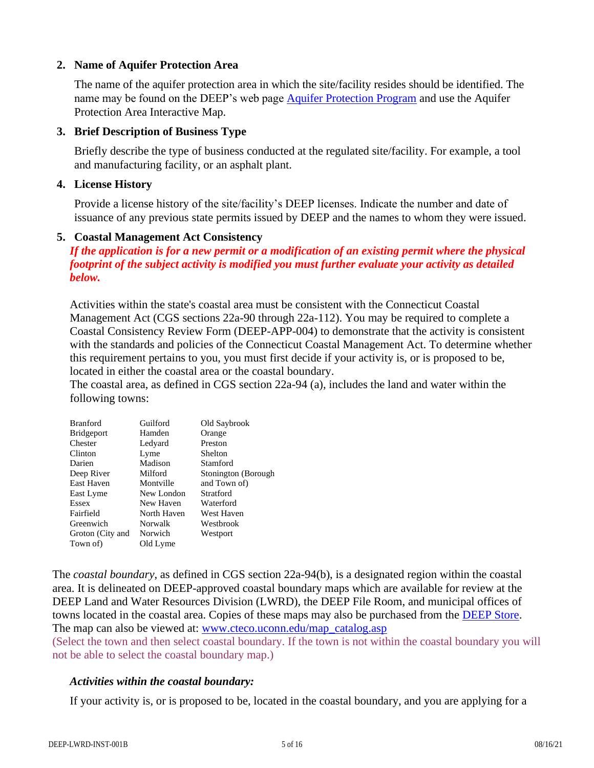#### **2. Name of Aquifer Protection Area**

The name of the aquifer protection area in which the site/facility resides should be identified. The name may be found on the DEEP's web page [Aquifer Protection Program](https://portal.ct.gov/DEEP/Aquifer-Protection-and-Groundwater/Aquifer-Protection/Aquifer-Protection-Program) and use the Aquifer Protection Area Interactive Map.

#### **3. Brief Description of Business Type**

Briefly describe the type of business conducted at the regulated site/facility. For example, a tool and manufacturing facility, or an asphalt plant.

#### **4. License History**

Provide a license history of the site/facility's DEEP licenses. Indicate the number and date of issuance of any previous state permits issued by DEEP and the names to whom they were issued.

#### **5. Coastal Management Act Consistency**

*If the application is for a new permit or a modification of an existing permit where the physical footprint of the subject activity is modified you must further evaluate your activity as detailed below.*

Activities within the state's coastal area must be consistent with the Connecticut Coastal Management Act (CGS sections 22a-90 through 22a-112). You may be required to complete a Coastal Consistency Review Form (DEEP-APP-004) to demonstrate that the activity is consistent with the standards and policies of the Connecticut Coastal Management Act. To determine whether this requirement pertains to you, you must first decide if your activity is, or is proposed to be, located in either the coastal area or the coastal boundary.

The coastal area, as defined in CGS section 22a-94 (a), includes the land and water within the following towns:

| <b>Branford</b>   | Guilford    | Old Saybrook        |
|-------------------|-------------|---------------------|
| <b>Bridgeport</b> | Hamden      | Orange              |
| Chester           | Ledyard     | Preston             |
| Clinton           | Lyme        | Shelton             |
| Darien            | Madison     | Stamford            |
| Deep River        | Milford     | Stonington (Borough |
| East Haven        | Montville   | and Town of)        |
| East Lyme         | New London  | Stratford           |
| <b>Essex</b>      | New Haven   | Waterford           |
| Fairfield         | North Haven | West Haven          |
| Greenwich         | Norwalk     | Westbrook           |
| Groton (City and  | Norwich     | Westport            |
| Town of)          | Old Lyme    |                     |

The *coastal boundary*, as defined in CGS section 22a-94(b), is a designated region within the coastal area. It is delineated on DEEP-approved coastal boundary maps which are available for review at the DEEP Land and Water Resources Division (LWRD), the DEEP File Room, and municipal offices of towns located in the coastal area. Copies of these maps may also be purchased from the [DEEP Store.](https://portal.ct.gov/DEEP/About/DEEP-Bookstore/The-DEEP-Store) The map can also be viewed at: [www.cteco.uconn.edu/map\\_catalog.asp](http://www.cteco.uconn.edu/map_catalog.asp)

(Select the town and then select coastal boundary. If the town is not within the coastal boundary you will not be able to select the coastal boundary map.)

## *Activities within the coastal boundary:*

If your activity is, or is proposed to be, located in the coastal boundary, and you are applying for a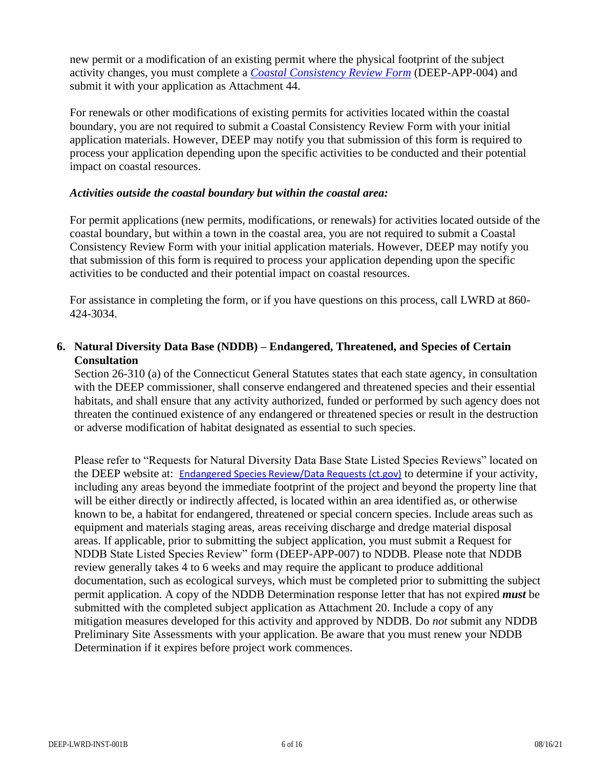new permit or a modification of an existing permit where the physical footprint of the subject activity changes, you must complete a *[Coastal Consistency Review Form](https://portal.ct.gov/DEEP/Permits-and-Licenses/Common-Forms#CoastalConsistency)* (DEEP-APP-004) and submit it with your application as Attachment 44.

For renewals or other modifications of existing permits for activities located within the coastal boundary, you are not required to submit a Coastal Consistency Review Form with your initial application materials. However, DEEP may notify you that submission of this form is required to process your application depending upon the specific activities to be conducted and their potential impact on coastal resources.

#### *Activities outside the coastal boundary but within the coastal area:*

For permit applications (new permits, modifications, or renewals) for activities located outside of the coastal boundary, but within a town in the coastal area, you are not required to submit a Coastal Consistency Review Form with your initial application materials. However, DEEP may notify you that submission of this form is required to process your application depending upon the specific activities to be conducted and their potential impact on coastal resources.

For assistance in completing the form, or if you have questions on this process, call LWRD at 860- 424-3034.

## **6. Natural Diversity Data Base (NDDB) – Endangered, Threatened, and Species of Certain Consultation**

Section 26-310 (a) of the Connecticut General Statutes states that each state agency, in consultation with the DEEP commissioner, shall conserve endangered and threatened species and their essential habitats, and shall ensure that any activity authorized, funded or performed by such agency does not threaten the continued existence of any endangered or threatened species or result in the destruction or adverse modification of habitat designated as essential to such species.

Please refer to "Requests for Natural Diversity Data Base State Listed Species Reviews" located on the DEEP website at: [Endangered Species Review/Data Requests \(ct.gov\)](https://portal.ct.gov/DEEP/Endangered-Species/Endangered-Species-ReviewData-Requests) to determine if your activity, including any areas beyond the immediate footprint of the project and beyond the property line that will be either directly or indirectly affected, is located within an area identified as, or otherwise known to be, a habitat for endangered, threatened or special concern species. Include areas such as equipment and materials staging areas, areas receiving discharge and dredge material disposal areas. If applicable, prior to submitting the subject application, you must submit a Request for NDDB State Listed Species Review" form (DEEP-APP-007) to NDDB. Please note that NDDB review generally takes 4 to 6 weeks and may require the applicant to produce additional documentation, such as ecological surveys, which must be completed prior to submitting the subject permit application. A copy of the NDDB Determination response letter that has not expired *must* be submitted with the completed subject application as Attachment 20. Include a copy of any mitigation measures developed for this activity and approved by NDDB. Do *not* submit any NDDB Preliminary Site Assessments with your application. Be aware that you must renew your NDDB Determination if it expires before project work commences.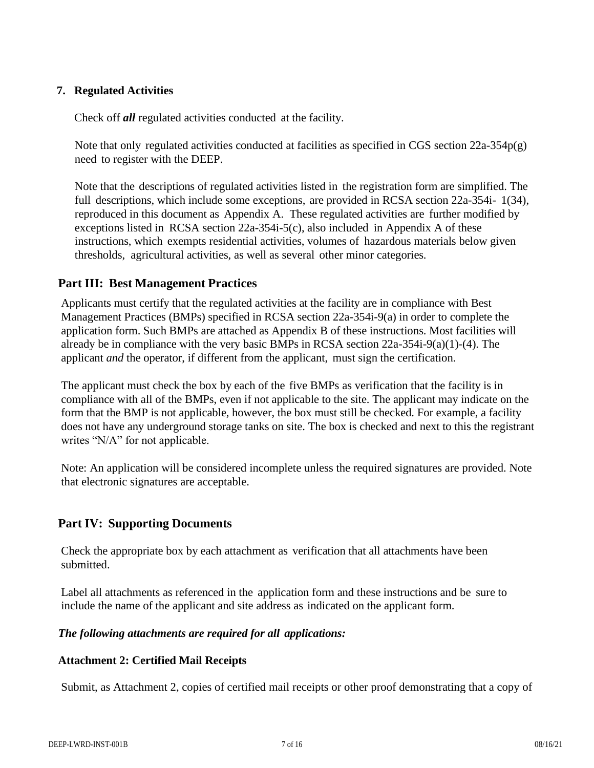## **7. Regulated Activities**

Check off *all* regulated activities conducted at the facility.

Note that only regulated activities conducted at facilities as specified in CGS section  $22a-354p(g)$ need to register with the DEEP.

Note that the descriptions of regulated activities listed in the registration form are simplified. The full descriptions, which include some exceptions, are provided in RCSA section 22a-354i- 1(34), reproduced in this document as Appendix A. These regulated activities are further modified by exceptions listed in RCSA section 22a-354i-5(c), also included in Appendix A of these instructions, which exempts residential activities, volumes of hazardous materials below given thresholds, agricultural activities, as well as several other minor categories.

## **Part III: Best Management Practices**

Applicants must certify that the regulated activities at the facility are in compliance with Best Management Practices (BMPs) specified in RCSA section 22a-354i-9(a) in order to complete the application form. Such BMPs are attached as Appendix B of these instructions. Most facilities will already be in compliance with the very basic BMPs in RCSA section 22a-354i-9(a)(1)-(4). The applicant *and* the operator, if different from the applicant, must sign the certification.

The applicant must check the box by each of the five BMPs as verification that the facility is in compliance with all of the BMPs, even if not applicable to the site. The applicant may indicate on the form that the BMP is not applicable, however, the box must still be checked. For example, a facility does not have any underground storage tanks on site. The box is checked and next to this the registrant writes "N/A" for not applicable.

Note: An application will be considered incomplete unless the required signatures are provided. Note that electronic signatures are acceptable.

## **Part IV: Supporting Documents**

Check the appropriate box by each attachment as verification that all attachments have been submitted.

Label all attachments as referenced in the application form and these instructions and be sure to include the name of the applicant and site address as indicated on the applicant form.

## *The following attachments are required for all applications:*

## **Attachment 2: Certified Mail Receipts**

Submit, as Attachment 2, copies of certified mail receipts or other proof demonstrating that a copy of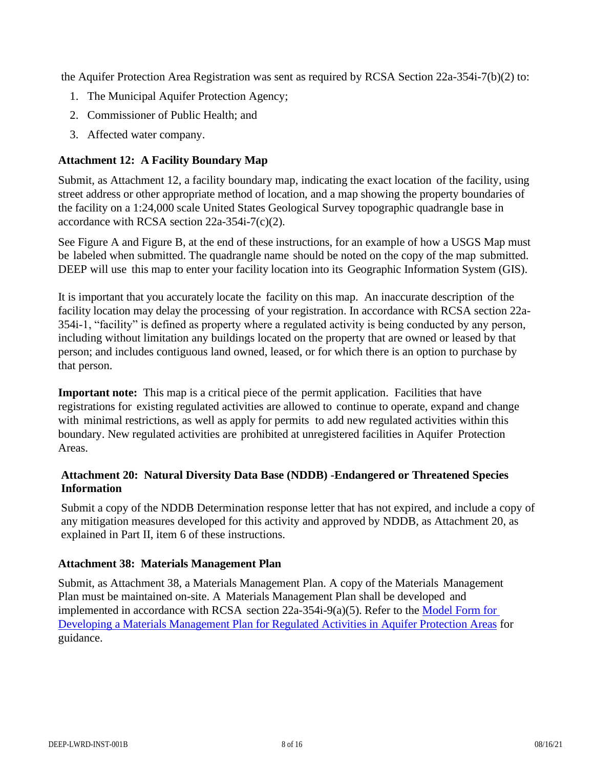the Aquifer Protection Area Registration was sent as required by RCSA Section 22a-354i-7(b)(2) to:

- 1. The Municipal Aquifer Protection Agency;
- 2. Commissioner of Public Health; and
- 3. Affected water company.

#### **Attachment 12: A Facility Boundary Map**

Submit, as Attachment 12, a facility boundary map, indicating the exact location of the facility, using street address or other appropriate method of location, and a map showing the property boundaries of the facility on a 1:24,000 scale United States Geological Survey topographic quadrangle base in accordance with RCSA section 22a-354i-7(c)(2).

See Figure A and Figure B, at the end of these instructions, for an example of how a USGS Map must be labeled when submitted. The quadrangle name should be noted on the copy of the map submitted. DEEP will use this map to enter your facility location into its Geographic Information System (GIS).

It is important that you accurately locate the facility on this map. An inaccurate description of the facility location may delay the processing of your registration. In accordance with RCSA section 22a-354i-1, "facility" is defined as property where a regulated activity is being conducted by any person, including without limitation any buildings located on the property that are owned or leased by that person; and includes contiguous land owned, leased, or for which there is an option to purchase by that person.

**Important note:** This map is a critical piece of the permit application. Facilities that have registrations for existing regulated activities are allowed to continue to operate, expand and change with minimal restrictions, as well as apply for permits to add new regulated activities within this boundary. New regulated activities are prohibited at unregistered facilities in Aquifer Protection Areas.

#### **Attachment 20: Natural Diversity Data Base (NDDB) -Endangered or Threatened Species Information**

Submit a copy of the NDDB Determination response letter that has not expired, and include a copy of any mitigation measures developed for this activity and approved by NDDB, as Attachment 20, as explained in Part II, item 6 of these instructions.

#### **Attachment 38: Materials Management Plan**

Submit, as Attachment 38, a Materials Management Plan. A copy of the Materials Management Plan must be maintained on-site. A Materials Management Plan shall be developed and implemented in accordance with RCSA section 22a-354i-9(a)(5). Refer to the [Model Form for](https://portal.ct.gov/-/media/DEEP/aquifer_protection/municipal_manual/ModelMaterialsManagementPlandoc.doc?la=en)  [Developing a Materials Management Plan for Regulated Activities in Aquifer Protection Areas](https://portal.ct.gov/-/media/DEEP/aquifer_protection/municipal_manual/ModelMaterialsManagementPlandoc.doc?la=en) for guidance.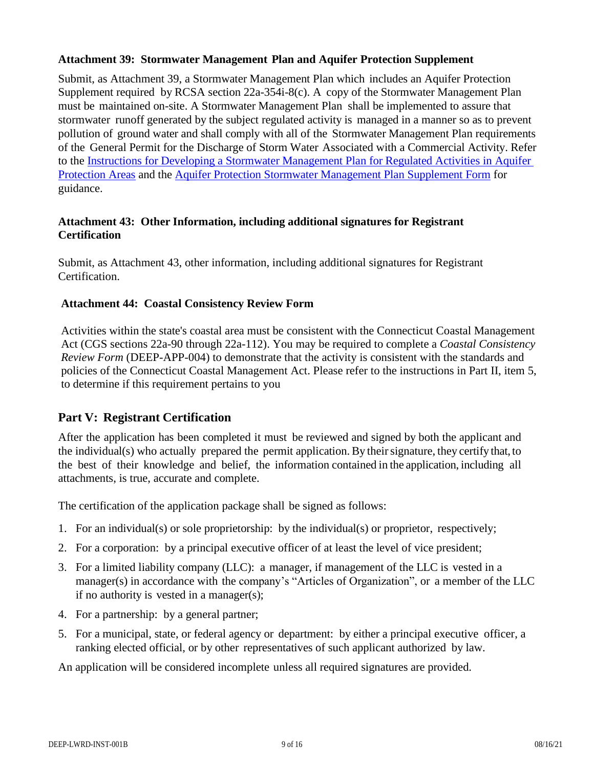#### **Attachment 39: Stormwater Management Plan and Aquifer Protection Supplement**

Submit, as Attachment 39, a Stormwater Management Plan which includes an Aquifer Protection Supplement required by RCSA section 22a-354i-8(c). A copy of the Stormwater Management Plan must be maintained on-site. A Stormwater Management Plan shall be implemented to assure that stormwater runoff generated by the subject regulated activity is managed in a manner so as to prevent pollution of ground water and shall comply with all of the Stormwater Management Plan requirements of the General Permit for the Discharge of Storm Water Associated with a Commercial Activity. Refer to the Instructions for Developing a Stormwater Management [Plan for Regulated](https://portal.ct.gov/-/media/DEEP/aquifer_protection/modelstormwatermgmtplandoc.doc?la=en) Activities in Aquifer [Protection](https://portal.ct.gov/-/media/DEEP/aquifer_protection/modelstormwatermgmtplandoc.doc?la=en) Areas and the Aquifer Protection Stormwater Management [Plan Supplement](https://portal.ct.gov/-/media/DEEP/aquifer_protection/apstormwatersupplementdoc.doc?la=en) Form for guidance.

#### **Attachment 43: Other Information, including additional signatures for Registrant Certification**

Submit, as Attachment 43, other information, including additional signatures for Registrant Certification.

#### **Attachment 44: Coastal Consistency Review Form**

Activities within the state's coastal area must be consistent with the Connecticut Coastal Management Act (CGS sections 22a-90 through 22a-112). You may be required to complete a *Coastal Consistency Review Form* (DEEP-APP-004) to demonstrate that the activity is consistent with the standards and policies of the Connecticut Coastal Management Act. Please refer to the instructions in Part II, item 5, to determine if this requirement pertains to you

# **Part V: Registrant Certification**

After the application has been completed it must be reviewed and signed by both the applicant and the individual(s) who actually prepared the permit application. By theirsignature, they certify that, to the best of their knowledge and belief, the information contained in the application, including all attachments, is true, accurate and complete.

The certification of the application package shall be signed as follows:

- 1. For an individual(s) or sole proprietorship: by the individual(s) or proprietor, respectively;
- 2. For a corporation: by a principal executive officer of at least the level of vice president;
- 3. For a limited liability company (LLC): a manager, if management of the LLC is vested in a manager(s) in accordance with the company's "Articles of Organization", or a member of the LLC if no authority is vested in a manager(s);
- 4. For a partnership: by a general partner;
- 5. For a municipal, state, or federal agency or department: by either a principal executive officer, a ranking elected official, or by other representatives of such applicant authorized by law.

An application will be considered incomplete unless all required signatures are provided.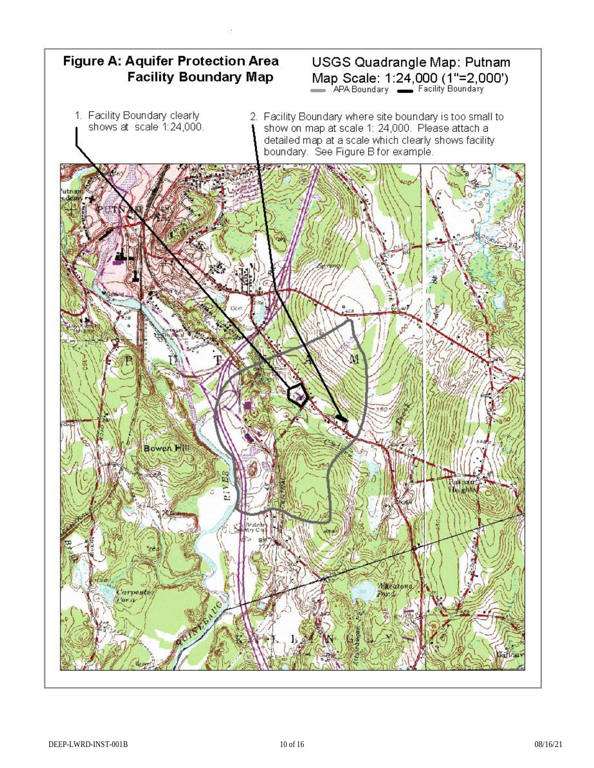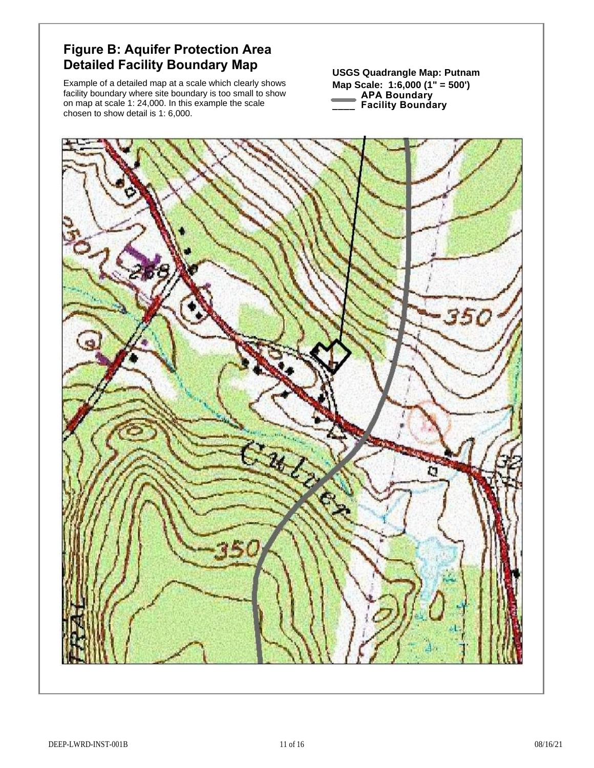# **Figure B: Aquifer Protection Area Detailed Facility Boundary Map** USGS Quadrangle Map: Putnam

Example of a detailed map at a scale which clearly shows facility boundary where site boundary is too small to show on map at scale 1: 24,000. In this example the scale chosen to show detail is 1: 6,000.

**Map Scale: 1:6,000 (1" = 500')**

- **APA Boundary**
- **\_\_\_\_ Facility Boundary**

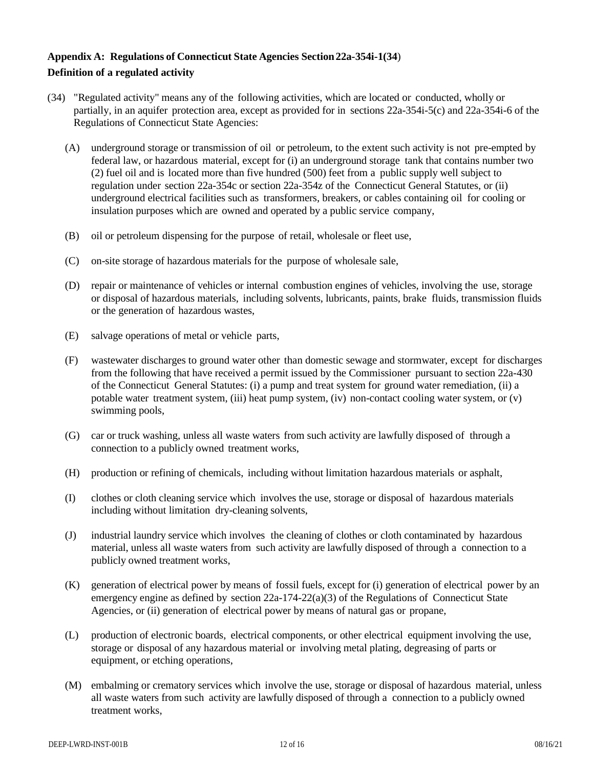#### **Appendix A: Regulations of Connecticut State Agencies Section22a-354i-1(34**) **Definition of a regulated activity**

- (34) "Regulated activity" means any of the following activities, which are located or conducted, wholly or partially, in an aquifer protection area, except as provided for in sections 22a-354i-5(c) and 22a-354i-6 of the Regulations of Connecticut State Agencies:
	- (A) underground storage or transmission of oil or petroleum, to the extent such activity is not pre-empted by federal law, or hazardous material, except for (i) an underground storage tank that contains number two (2) fuel oil and is located more than five hundred (500) feet from a public supply well subject to regulation under section 22a-354c or section 22a-354z of the Connecticut General Statutes, or (ii) underground electrical facilities such as transformers, breakers, or cables containing oil for cooling or insulation purposes which are owned and operated by a public service company,
	- (B) oil or petroleum dispensing for the purpose of retail, wholesale or fleet use,
	- (C) on-site storage of hazardous materials for the purpose of wholesale sale,
	- (D) repair or maintenance of vehicles or internal combustion engines of vehicles, involving the use, storage or disposal of hazardous materials, including solvents, lubricants, paints, brake fluids, transmission fluids or the generation of hazardous wastes,
	- (E) salvage operations of metal or vehicle parts,
	- (F) wastewater discharges to ground water other than domestic sewage and stormwater, except for discharges from the following that have received a permit issued by the Commissioner pursuant to section 22a-430 of the Connecticut General Statutes: (i) a pump and treat system for ground water remediation, (ii) a potable water treatment system, (iii) heat pump system, (iv) non-contact cooling water system, or (v) swimming pools,
	- (G) car or truck washing, unless all waste waters from such activity are lawfully disposed of through a connection to a publicly owned treatment works,
	- (H) production or refining of chemicals, including without limitation hazardous materials or asphalt,
	- (I) clothes or cloth cleaning service which involves the use, storage or disposal of hazardous materials including without limitation dry-cleaning solvents,
	- (J) industrial laundry service which involves the cleaning of clothes or cloth contaminated by hazardous material, unless all waste waters from such activity are lawfully disposed of through a connection to a publicly owned treatment works,
	- (K) generation of electrical power by means of fossil fuels, except for (i) generation of electrical power by an emergency engine as defined by section 22a-174-22(a)(3) of the Regulations of Connecticut State Agencies, or (ii) generation of electrical power by means of natural gas or propane,
	- (L) production of electronic boards, electrical components, or other electrical equipment involving the use, storage or disposal of any hazardous material or involving metal plating, degreasing of parts or equipment, or etching operations,
	- (M) embalming or crematory services which involve the use, storage or disposal of hazardous material, unless all waste waters from such activity are lawfully disposed of through a connection to a publicly owned treatment works,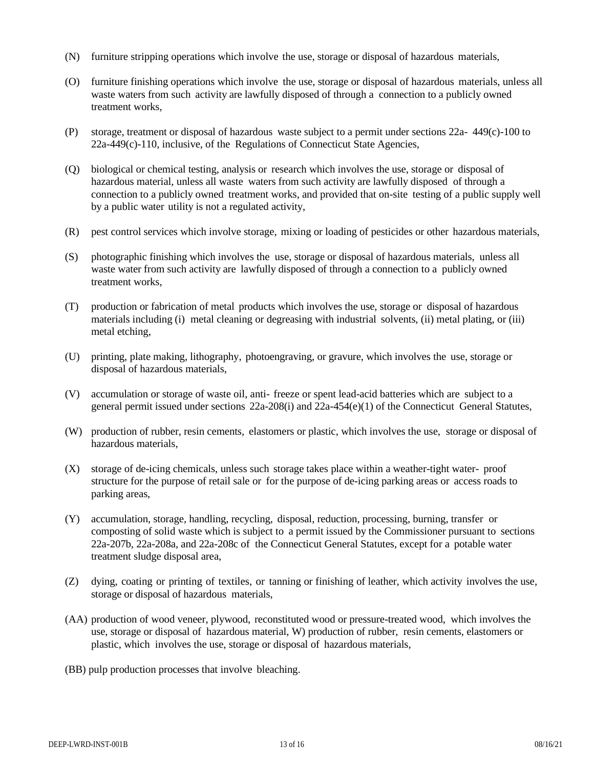- (N) furniture stripping operations which involve the use, storage or disposal of hazardous materials,
- (O) furniture finishing operations which involve the use, storage or disposal of hazardous materials, unless all waste waters from such activity are lawfully disposed of through a connection to a publicly owned treatment works,
- (P) storage, treatment or disposal of hazardous waste subject to a permit under sections 22a- 449(c)-100 to 22a-449(c)-110, inclusive, of the Regulations of Connecticut State Agencies,
- (Q) biological or chemical testing, analysis or research which involves the use, storage or disposal of hazardous material, unless all waste waters from such activity are lawfully disposed of through a connection to a publicly owned treatment works, and provided that on-site testing of a public supply well by a public water utility is not a regulated activity,
- (R) pest control services which involve storage, mixing or loading of pesticides or other hazardous materials,
- (S) photographic finishing which involves the use, storage or disposal of hazardous materials, unless all waste water from such activity are lawfully disposed of through a connection to a publicly owned treatment works,
- (T) production or fabrication of metal products which involves the use, storage or disposal of hazardous materials including (i) metal cleaning or degreasing with industrial solvents, (ii) metal plating, or (iii) metal etching,
- (U) printing, plate making, lithography, photoengraving, or gravure, which involves the use, storage or disposal of hazardous materials,
- (V) accumulation or storage of waste oil, anti- freeze or spent lead-acid batteries which are subject to a general permit issued under sections 22a-208(i) and 22a-454(e)(1) of the Connecticut General Statutes,
- (W) production of rubber, resin cements, elastomers or plastic, which involves the use, storage or disposal of hazardous materials,
- (X) storage of de-icing chemicals, unless such storage takes place within a weather-tight water- proof structure for the purpose of retail sale or for the purpose of de-icing parking areas or access roads to parking areas,
- (Y) accumulation, storage, handling, recycling, disposal, reduction, processing, burning, transfer or composting of solid waste which is subject to a permit issued by the Commissioner pursuant to sections 22a-207b, 22a-208a, and 22a-208c of the Connecticut General Statutes, except for a potable water treatment sludge disposal area,
- (Z) dying, coating or printing of textiles, or tanning or finishing of leather, which activity involves the use, storage or disposal of hazardous materials,
- (AA) production of wood veneer, plywood, reconstituted wood or pressure-treated wood, which involves the use, storage or disposal of hazardous material, W) production of rubber, resin cements, elastomers or plastic, which involves the use, storage or disposal of hazardous materials,
- (BB) pulp production processes that involve bleaching.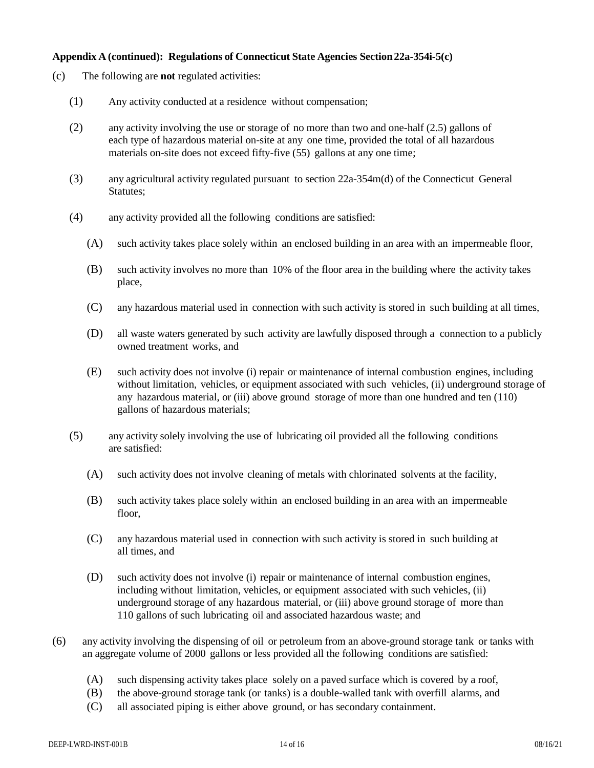#### **Appendix A (continued): Regulations of Connecticut State Agencies Section22a-354i-5(c)**

- (c) The following are **not** regulated activities:
	- (1) Any activity conducted at a residence without compensation;
	- (2) any activity involving the use or storage of no more than two and one-half (2.5) gallons of each type of hazardous material on-site at any one time, provided the total of all hazardous materials on-site does not exceed fifty-five (55) gallons at any one time;
	- (3) any agricultural activity regulated pursuant to section 22a-354m(d) of the Connecticut General Statutes;
	- (4) any activity provided all the following conditions are satisfied:
		- (A) such activity takes place solely within an enclosed building in an area with an impermeable floor,
		- (B) such activity involves no more than 10% of the floor area in the building where the activity takes place,
		- (C) any hazardous material used in connection with such activity is stored in such building at all times,
		- (D) all waste waters generated by such activity are lawfully disposed through a connection to a publicly owned treatment works, and
		- (E) such activity does not involve (i) repair or maintenance of internal combustion engines, including without limitation, vehicles, or equipment associated with such vehicles, (ii) underground storage of any hazardous material, or (iii) above ground storage of more than one hundred and ten (110) gallons of hazardous materials;
	- (5) any activity solely involving the use of lubricating oil provided all the following conditions are satisfied:
		- (A) such activity does not involve cleaning of metals with chlorinated solvents at the facility,
		- (B) such activity takes place solely within an enclosed building in an area with an impermeable floor,
		- (C) any hazardous material used in connection with such activity is stored in such building at all times, and
		- (D) such activity does not involve (i) repair or maintenance of internal combustion engines, including without limitation, vehicles, or equipment associated with such vehicles, (ii) underground storage of any hazardous material, or (iii) above ground storage of more than 110 gallons of such lubricating oil and associated hazardous waste; and
- (6) any activity involving the dispensing of oil or petroleum from an above-ground storage tank or tanks with an aggregate volume of 2000 gallons or less provided all the following conditions are satisfied:
	- (A) such dispensing activity takes place solely on a paved surface which is covered by a roof,
	- (B) the above-ground storage tank (or tanks) is a double-walled tank with overfill alarms, and
	- (C) all associated piping is either above ground, or has secondary containment.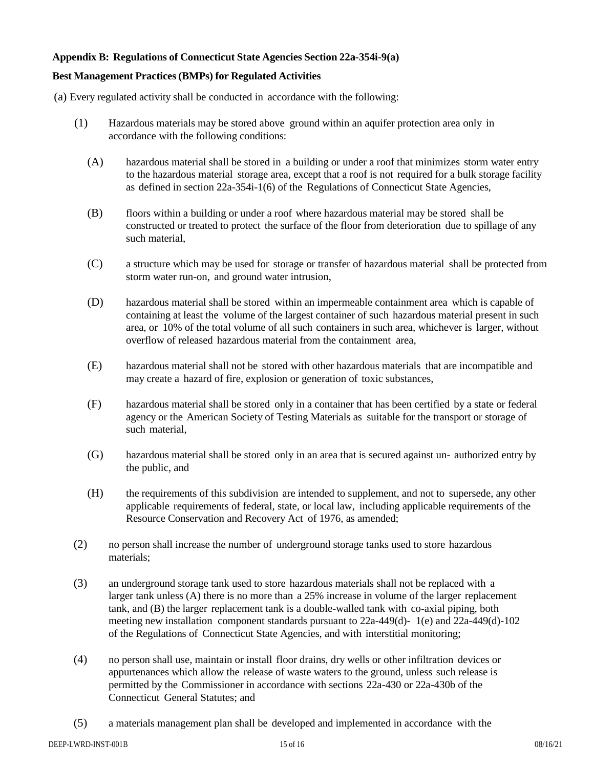#### **Appendix B: Regulations of Connecticut State Agencies Section 22a-354i-9(a)**

#### **Best Management Practices(BMPs) for Regulated Activities**

(a) Every regulated activity shall be conducted in accordance with the following:

- (1) Hazardous materials may be stored above ground within an aquifer protection area only in accordance with the following conditions:
	- (A) hazardous material shall be stored in a building or under a roof that minimizes storm water entry to the hazardous material storage area, except that a roof is not required for a bulk storage facility as defined in section 22a-354i-1(6) of the Regulations of Connecticut State Agencies,
	- (B) floors within a building or under a roof where hazardous material may be stored shall be constructed or treated to protect the surface of the floor from deterioration due to spillage of any such material,
	- (C) a structure which may be used for storage or transfer of hazardous material shall be protected from storm water run-on, and ground water intrusion,
	- (D) hazardous material shall be stored within an impermeable containment area which is capable of containing at least the volume of the largest container of such hazardous material present in such area, or 10% of the total volume of all such containers in such area, whichever is larger, without overflow of released hazardous material from the containment area,
	- (E) hazardous material shall not be stored with other hazardous materials that are incompatible and may create a hazard of fire, explosion or generation of toxic substances,
	- (F) hazardous material shall be stored only in a container that has been certified by a state or federal agency or the American Society of Testing Materials as suitable for the transport or storage of such material,
	- (G) hazardous material shall be stored only in an area that is secured against un- authorized entry by the public, and
	- (H) the requirements of this subdivision are intended to supplement, and not to supersede, any other applicable requirements of federal, state, or local law, including applicable requirements of the Resource Conservation and Recovery Act of 1976, as amended;
- (2) no person shall increase the number of underground storage tanks used to store hazardous materials;
- (3) an underground storage tank used to store hazardous materials shall not be replaced with a larger tank unless (A) there is no more than a 25% increase in volume of the larger replacement tank, and (B) the larger replacement tank is a double-walled tank with co-axial piping, both meeting new installation component standards pursuant to 22a-449(d)- 1(e) and 22a-449(d)-102 of the Regulations of Connecticut State Agencies, and with interstitial monitoring;
- (4) no person shall use, maintain or install floor drains, dry wells or other infiltration devices or appurtenances which allow the release of waste waters to the ground, unless such release is permitted by the Commissioner in accordance with sections 22a-430 or 22a-430b of the Connecticut General Statutes; and
- (5) a materials management plan shall be developed and implemented in accordance with the